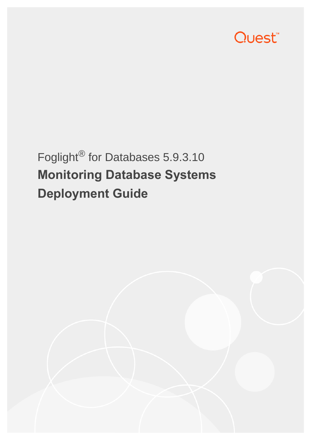

# Foglight® for Databases 5.9.3.10 **Monitoring Database Systems Deployment Guide**

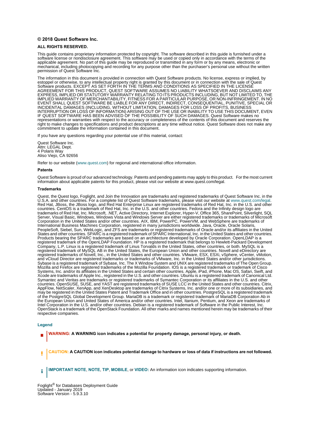#### **© 2018 Quest Software Inc.**

#### **ALL RIGHTS RESERVED.**

This guide contains proprietary information protected by copyright. The software described in this guide is furnished under a software license or nondisclosure agreement. This software may be used or copied only in accordance with the terms of the applicable agreement. No part of this guide may be reproduced or transmitted in any form or by any means, electronic or mechanical, including photocopying and recording for any purpose other than the purchaser's personal use without the written permission of Quest Software Inc.

The information in this document is provided in connection with Quest Software products. No license, express or implied, by estoppel or otherwise, to any intellectual property right is granted by this document or in connection with the sale of Quest<br>Software products. EXCEPT AS SET FORTH IN THE TERMS AND CONDITIONS AS SPECIFIED IN THE LICENSE<br>A EXPRESS, IMPLIED OR STATUTORY WARRANTY RELATING TO ITS PRODUCTS INCLUDING, BUT NOT LIMITED TO, THE<br>IMPLIED WARRANTY OF MERCHANTABILITY, FITNESS FOR A PARTICULAR PURPOSE, OR NON-INFRINGEMENT. IN NO<br>EVENT SHALL QUEST SOFTWAR INCIDENTAL DAMAGES (INCLUDING, WITHOUT LIMITATION, DAMAGES FOR LOSS OF PROFITS, BUSINESS<br>INTERRUPTION OR LOSS OF INFORMATION) ARISING OUT OF THE USE OR INABILITY TO USE THIS DOCUMENT, EVEN IF QUEST SOFTWARE HAS BEEN ADVISED OF THE POSSIBILITY OF SUCH DAMAGES. Quest Software makes no representations or warranties with respect to the accuracy or completeness of the contents of this document and reserves the right to make changes to specifications and product descriptions at any time without notice. Quest Software does not make any commitment to update the information contained in this document.

If you have any questions regarding your potential use of this material, contact:

Quest Software Inc. Attn: LEGAL Dept. 4 Polaris Way Aliso Viejo, CA 92656

Refer to our website [\(www.quest.com\)](http://www.quest.com) for regional and international office information.

#### **Patents**

Quest Software is proud of our advanced technology. Patents and pending patents may apply to this product. For the most current information about applicable patents for this product, please visit our website at www.quest.com/legal.

#### **Trademarks**

Quest, the Quest logo, Foglight, and Join the Innovation are trademarks and registered trademarks of Quest Software Inc. in the U.S.A. and other countries. For a complete list of Quest Software trademarks, please visit our website at [www.quest.com/legal.](http://www.quest.com/legal)<br>Red Hat, JBoss, the JBoss logo, and Red Hat Enterprise Linux are registered trademarks of Red H countries. CentOS is a trademark of Red Hat, Inc. in the U.S. and other countries. Fedora and the Infinity design logo are trademarks of Red Hat, Inc. Microsoft, .NET, Active Directory, Internet Explorer, Hyper-V, Office 365, SharePoint, Silverlight, SQL<br>Server, Visual Basic, Windows, Windows Vista and Windows Server are either registered trad Corporation in the United States and/or other countries. AIX, IBM, PowerPC, PowerVM, and WebSphere are trademarks of International Business Machines Corporation, registered in many jurisdictions worldwide. Java, Oracle, Oracle Solaris, PeopleSoft, Siebel, Sun, WebLogic, and ZFS are trademarks or registered trademarks of Oracle and/or its affiliates in the United<br>States and other countries. SPARC is a registered trademark of SPARC International, Inc. in t Products bearing the SPARC trademarks are based on an architecture developed by Oracle Corporation. OpenLDAP is a<br>registered trademark of the OpenLDAP Foundation. HP is a registered trademark that belongs to Hewlett-Packar Company, L.P. Linux is a registered trademark of Linus Torvalds in the United States, other countries, or both. MySQL is a registered trademark of MySQL AB in the United States, the European Union and other countries. Novell and eDirectory are registered trademarks of Novell, Inc., in the United States and other countries. VMware, ESX, ESXi, vSphere, vCenter, vMotion, and vCloud Director are registered trademarks or trademarks of VMware, Inc. in the United States and/or other jurisdictions. Sybase is a registered trademark of Sybase, Inc. The X Window System and UNIX are registered trademarks of The Open Group. Mozilla and Firefox are registered trademarks of the Mozilla Foundation. IOS is a registered trademark or trademark of Cisco Systems, Inc. and/or its affiliates in the United States and certain other countries. Apple, iPad, iPhone, Mac OS, Safari, Swift, and Xcode are trademarks of Apple Inc., registered in the U.S. and other countries. Ubuntu is a registered trademark of Canonical Ltd. Symantec and Veritas are trademarks or registered trademarks of Symantec Corporation or its affiliates in the U.S. and other<br>countries. OpenSUSE, SUSE, and YAST are registered trademarks of SUSE LCC in the United States an AppFlow, NetScaler, XenApp, and XenDesktop are trademarks of Citrix Systems, Inc. and/or one or more of its subsidiaries, and<br>may be registered in the United States Patent and Trademark Office and in other countries. Postg the European Union and United States of America and/or other countries. Intel, Itanium, Pentium, and Xeon are trademarks of Intel Corporation in the U.S. and/or other countries. Debian is a registered trademark of Software in the Public Interest, Inc. OpenStack is a trademark of the OpenStack Foundation. All other marks and names mentioned herein may be trademarks of their respective companies.

#### **Legend**

**WARNING: A WARNING icon indicates a potential for property damage, personal injury, or death.**

**CAUTION: A CAUTION icon indicates potential damage to hardware or loss of data if instructions are not followed.** Ţ

**IMPORTANT NOTE**, **NOTE**, **TIP**, **MOBILE**, or **VIDEO:** An information icon indicates supporting information.f.

Foglight® for Databases Deployment Guide Updated - January 2019 Software Version - 5.9.3.10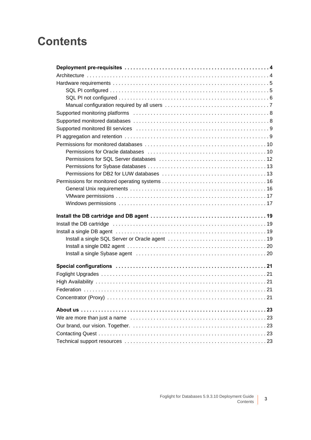## **Contents**

| Concentrator (Proxy).<br>. 21 |
|-------------------------------|
|                               |
|                               |
|                               |
|                               |
|                               |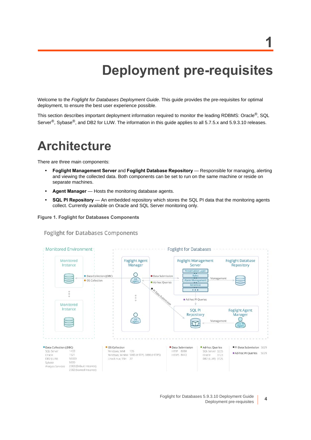# **Deployment pre-requisites**

<span id="page-3-0"></span>Welcome to the *Foglight for Databases Deployment Guide*. This guide provides the pre-requisites for optimal deployment, to ensure the best user experience possible.

This section describes important deployment information required to monitor the leading RDBMS: Oracle<sup>®</sup>, SQL Server<sup>®</sup>, Sybase<sup>®</sup>, and DB2 for LUW. The information in this guide applies to all 5.7.5.x and 5.9.3.10 releases.

## <span id="page-3-1"></span>**Architecture**

There are three main components:

- **Foglight Management Server** and **Foglight Database Repository**  Responsible for managing, alerting and viewing the collected data. Both components can be set to run on the same machine or reside on separate machines.
- **Agent Manager** Hosts the monitoring database agents.
- **SQL PI Repository** An embedded repository which stores the SQL PI data that the monitoring agents collect. Currently available on Oracle and SQL Server monitoring only.

**Figure 1. Foglight for Databases Components**

**Foglight for Databases Components** 



**4**

**1**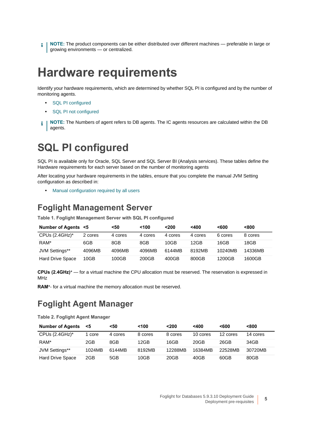**NOTE:** The product components can be either distributed over different machines — preferable in large or i growing environments — or centralized.

## <span id="page-4-0"></span>**Hardware requirements**

Identify your hardware requirements, which are determined by whether SQL PI is configured and by the number of monitoring agents.

- **•** [SQL PI configured](#page-4-1)
- **•** [SQL PI not configured](#page-5-0)
- **NOTE:** The Numbers of agent refers to DB agents. The IC agents resources are calculated within the DB ì agents.

## <span id="page-4-1"></span>**SQL PI configured**

SQL PI is available only for Oracle, SQL Server and SQL Server BI (Analysis services). These tables define the Hardware requirements for each server based on the number of monitoring agents

After locating your hardware requirements in the tables, ensure that you complete the manual JVM Setting configuration as described in:

**•** [Manual configuration required by all users](#page-6-0)

### **Foglight Management Server**

**Table 1. Foglight Management Server with SQL PI configured**

| Number of Agents <5     |         | <50     | < 100   | <200    | $<$ 400 | $600$   | < 800   |
|-------------------------|---------|---------|---------|---------|---------|---------|---------|
| CPUs $(2.4GHz)^*$       | 2 cores | 4 cores | 4 cores | 4 cores | 4 cores | 6 cores | 8 cores |
| RAM <sup>*</sup>        | 6GB     | 8GB     | 8GB     | 10GB    | 12GB    | 16GB    | 18GB    |
| JVM Settings**          | 4096MB  | 4096MB  | 4096MB  | 6144MB  | 8192MB  | 10240MB | 14336MB |
| <b>Hard Drive Space</b> | 10GB    | 100GB   | 200GB   | 400GB   | 800GB   | 1200GB  | 1600GB  |

**CPUs (2.4GHz)**\* — for a virtual machine the CPU allocation must be reserved. The reservation is expressed in MHz

RAM<sup>\*</sup>- for a virtual machine the memory allocation must be reserved.

### **Foglight Agent Manager**

**Table 2. Foglight Agent Manager**

| <b>Number of Agents</b> | <5     | <50     | 100     | $200$   | $400$    | <600     | < 800    |
|-------------------------|--------|---------|---------|---------|----------|----------|----------|
| CPUs $(2.4GHz)^*$       | core   | 4 cores | 8 cores | 8 cores | 10 cores | 12 cores | 14 cores |
| RAM*                    | 2GB    | 8GB     | 12GB    | 16GB    | 20GB     | 26GB     | 34GB     |
| JVM Settings**          | 1024MB | 6144MB  | 8192MB  | 12288MB | 16384MB  | 22528MB  | 30720MB  |
| <b>Hard Drive Space</b> | 2GB    | 5GB     | 10GB    | 20GB    | 40GB     | 60GB     | 80GB     |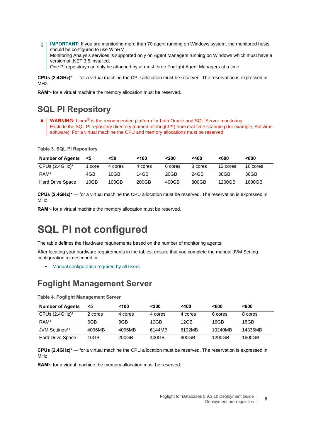**IMPORTANT:** If you are monitoring more than 70 agent running on Windows system, the monitored hosts ÷ should be configured to use WinRM. Monitoring Analysis services is supported only on Agent Managers running on Windows which must have a version of .NET 3.5 installed. One PI repository can only be attached by at most three Foglight Agent Managers at a time.

**CPUs (2.4GHz)**\* — for a virtual machine the CPU allocation must be reserved. The reservation is expressed in MHz.

**RAM**\*- for a virtual machine the memory allocation must be reserved.

### **SQL PI Repository**

**WARNING:** Linux® is the recommended platform for both Oracle and SQL Server monitoring. Exclude the SQL PI repository directory (named Infobright™) from real-time scanning (for example, Antivirus software). For a virtual machine the CPU and memory allocations must be reserved.

**Table 3. SQL PI Repository**

| <b>Number of Agents</b> | <5   | <50     | <100    | <200    | $<$ 400 | <600     | <800     |
|-------------------------|------|---------|---------|---------|---------|----------|----------|
| CPUs $(2.4GHz)^*$       | core | 4 cores | 4 cores | 6 cores | 8 cores | 12 cores | 16 cores |
| RAM*                    | 4GB  | 10GB    | 14GB    | 20GB    | 24GB    | 30GB     | 36GB     |
| <b>Hard Drive Space</b> | 10GB | 100GB   | 200GB   | 400GB   | 800GB   | 1200GB   | 1600GB   |

**CPUs (2.4GHz)**\* — for a virtual machine the CPU allocation must be reserved. The reservation is expressed in M<sub>Hz</sub>

**RAM**\*- for a virtual machine the memory allocation must be reserved.

## <span id="page-5-0"></span>**SQL PI not configured**

The table defines the Hardware requirements based on the number of monitoring agents.

After locating your hardware requirements in the tables, ensure that you complete the manual JVM Setting configuration as described in:

**•** [Manual configuration required by all users](#page-6-0)

### **Foglight Management Server**

**Table 4. Foglight Management Server**

| <b>Number of Agents</b> | <5      | < 100   | $200$   | $<$ 400 | $600$   | <800    |
|-------------------------|---------|---------|---------|---------|---------|---------|
| CPUs $(2.4GHz)^*$       | 2 cores | 4 cores | 4 cores | 4 cores | 6 cores | 8 cores |
| RAM <sup>*</sup>        | 6GB     | 8GB     | 10GB    | 12GB    | 16GB    | 18GB    |
| JVM Settings**          | 4096MB  | 4096MB  | 6144MB  | 8192MB  | 10240MB | 14336MB |
| Hard Drive Space        | 10GB    | 200GB   | 400GB   | 800GB   | 1200GB  | 1600GB  |

**CPUs (2.4GHz)**\* — for a virtual machine the CPU allocation must be reserved. The reservation is expressed in MHz

**RAM**\*- for a virtual machine the memory allocation must be reserved.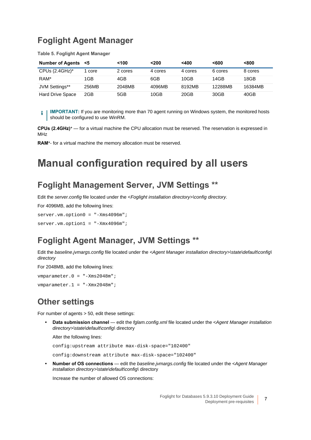### **Foglight Agent Manager**

**Table 5. Foglight Agent Manager**

| <b>Number of Agents</b> | - <5  | $<$ 100 | $200$   | $<$ 400 | < 600   | < 800   |
|-------------------------|-------|---------|---------|---------|---------|---------|
| CPUs $(2.4GHz)^*$       | core  | 2 cores | 4 cores | 4 cores | 6 cores | 8 cores |
| RAM*                    | 1GB   | 4GB     | 6GB     | 10GB    | 14GB    | 18GB    |
| JVM Settings**          | 256MB | 2048MB  | 4096MB  | 8192MB  | 12288MB | 16384MB |
| <b>Hard Drive Space</b> | 2GB   | 5GB     | 10GB    | 20GB    | 30GB    | 40GB    |

**IMPORTANT:** If you are monitoring more than 70 agent running on Windows system, the monitored hosts ÷ should be configured to use WinRM.

**CPUs (2.4GHz)**\* — for a virtual machine the CPU allocation must be reserved. The reservation is expressed in MHz

**RAM**\*- for a virtual machine the memory allocation must be reserved.

## <span id="page-6-1"></span><span id="page-6-0"></span>**Manual configuration required by all users**

### **Foglight Management Server, JVM Settings \*\***

Edit the *server.config* file located under the <*Foglight installation directory>\config directory*.

For 4096MB, add the following lines:

```
server.vm.option0 = "-Xms4096m";
server.vm.option1 = "-Xmx4096m";
```
### **Foglight Agent Manager, JVM Settings \*\***

Edit the *baseline.jvmargs.config* file located under the *<Agent Manager installation directory>\state\default\config\ directory*

For 2048MB, add the following lines:

vmparameter.0 = "-Xms2048m"; vmparameter.1 = "-Xmx2048m";

### **Other settings**

For number of agents > 50, edit these settings:

**• Data submission channel** — edit the *fglam.config.xml* file located under the <*Agent Manager installation directory>\state\default\config\* directory

Alter the following lines:

config:upstream attribute max-disk-space="102400"

config:downstream attribute max-disk-space="102400"

**• Number of OS connections** — edit the *baseline.jvmargs.config* file located under the <*Agent Manager installation directory>\state\default\config\* directory

Increase the number of allowed OS connections: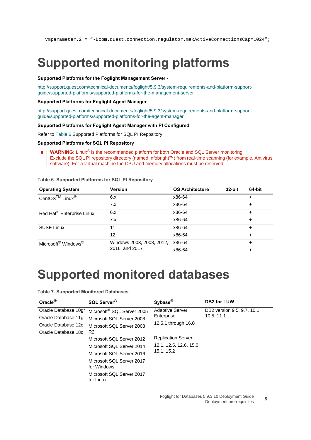vmparameter.2 = "-Dcom.quest.connection.regulator.maxActiveConnectionsCap=1024";

## <span id="page-7-0"></span>**Supported monitoring platforms**

#### **Supported Platforms for the Foglight Management Serve**r -

[http://support.quest.com/technical-documents/foglight/5.9.3/system-requirements-and-platform-support](http://support.quest.com/technical-documents/foglight/5.9.3/system-requirements-and-platform-support-guide/supported-platforms/supported-platforms-for-the-management-server)guide/supported-platforms/supported-platforms-for-the-management-server

#### **Supported Platforms for Foglight Agent Manager**

http://support.quest.com/technical-documents/foglight/5.9.3/system-requirements-and-platform-supportguide/supported-platforms/supported-platforms-for-the-agent-manager

#### **Supported Platforms for Foglight Agent Manager with PI Configured**

Refer to [Table 6](#page-7-2) Supported Platforms for SQL PI Repository.

#### **Supported Platforms for SQL PI Repository**

**WARNING:** Linux® is the recommended platform for both Oracle and SQL Server monitoring. Exclude the SQL PI repository directory (named Infobright™) from real-time scanning (for example, Antivirus software). For a virtual machine the CPU and memory allocations must be reserved.

| <b>Operating System</b>                     | <b>Version</b>            | <b>OS Architecture</b> | 32-bit | 64-bit    |
|---------------------------------------------|---------------------------|------------------------|--------|-----------|
| CentOS™ Linux <sup>®</sup>                  | 6.x                       | x86-64                 |        | $\ddot{}$ |
|                                             | 7.x                       | x86-64                 |        | $\ddot{}$ |
| Red Hat <sup>®</sup> Enterprise Linux       | 6.x                       | x86-64                 |        | $\ddot{}$ |
|                                             | 7.x                       | x86-64                 |        | $\ddot{}$ |
| <b>SUSE Linux</b>                           | 11                        | x86-64                 |        | $\ddot{}$ |
|                                             | 12                        | x86-64                 |        | $\ddot{}$ |
| Microsoft <sup>®</sup> Windows <sup>®</sup> | Windows 2003, 2008, 2012, | x86-64                 |        | $\ddot{}$ |
|                                             | 2016, and 2017            | x86-64                 |        | +         |

<span id="page-7-2"></span>**Table 6. Supported Platforms for SQL PI Repository**

## <span id="page-7-1"></span>**Supported monitored databases**

#### **Table 7. Supported Monitored Databases**

| Oracle <sup>®</sup>  | SQL Server <sup>®</sup>                  | Sybase <sup>®</sup>                   | <b>DB2 for LUW</b>          |
|----------------------|------------------------------------------|---------------------------------------|-----------------------------|
| Oracle Database 10g* | Microsoft <sup>®</sup> SQL Server 2005   | <b>Adaptive Server</b>                | DB2 version 9.5, 9.7, 10.1, |
| Oracle Database 11g  | Microsoft SQL Server 2008                | Enterprise:                           | 10.5, 11.1                  |
| Oracle Database 12c  | Microsoft SQL Server 2008                | 12.5.1 through 16.0                   |                             |
| Oracle Database 18c  | R <sub>2</sub>                           |                                       |                             |
|                      | Microsoft SQL Server 2012                | <b>Replication Server:</b>            |                             |
|                      | Microsoft SQL Server 2014                | 12.1, 12.5, 12.6, 15.0,<br>15.1, 15.2 |                             |
|                      | Microsoft SQL Server 2016                |                                       |                             |
|                      | Microsoft SQL Server 2017<br>for Windows |                                       |                             |
|                      | Microsoft SQL Server 2017<br>for Linux   |                                       |                             |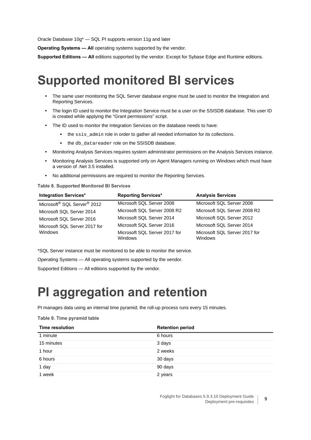Oracle Database 10g\* — SQL PI supports version 11g and later

**Operating Systems — All** operating systems supported by the vendor.

**Supported Editions — All** editions supported by the vendor. Except for Sybase Edge and Runtime editions.

## <span id="page-8-0"></span>**Supported monitored BI services**

- **•** The same user monitoring the SQL Server database engine must be used to monitor the Integration and Reporting Services.
- **•** The login ID used to monitor the Integration Service must be a user on the SSISDB database. This user ID is created while applying the "Grant permissions" script.
- **•** The ID used to monitor the Integration Services on the database needs to have:
	- **▪** the ssis\_admin role in order to gather all needed information for its collections.
	- **▪** the db\_datareader role on the SSISDB database.
- **•** Monitoring Analysis Services requires system administrator permissions on the Analysis Services instance.
- **•** Monitoring Analysis Services is supported only on Agent Managers running on Windows which must have a version of .Net 3.5 installed.
- **•** No additional permissions are required to monitor the Reporting Services.

#### **Table 8. Supported Monitored BI Services**

| <b>Integration Services*</b>  | <b>Reporting Services*</b>                      | <b>Analysis Services</b>                        |
|-------------------------------|-------------------------------------------------|-------------------------------------------------|
| Microsoft® SQL Server® 2012   | Microsoft SQL Server 2008                       | Microsoft SQL Server 2008                       |
| Microsoft SQL Server 2014     | Microsoft SQL Server 2008 R2                    | Microsoft SQL Server 2008 R2                    |
| Microsoft SQL Server 2016     | Microsoft SQL Server 2014                       | Microsoft SQL Server 2012                       |
| Microsoft SQL Server 2017 for | Microsoft SQL Server 2016                       | Microsoft SQL Server 2014                       |
| <b>Windows</b>                | Microsoft SQL Server 2017 for<br><b>Windows</b> | Microsoft SQL Server 2017 for<br><b>Windows</b> |

\*SQL Server instance must be monitored to be able to monitor the service.

Operating Systems — All operating systems supported by the vendor.

Supported Editions — All editions supported by the vendor.

## <span id="page-8-1"></span>**PI aggregation and retention**

PI manages data using an internal time pyramid; the roll-up process runs every 15 minutes.

**Table 9. Time pyramid table**

| <b>Time resolution</b> | <b>Retention period</b> |
|------------------------|-------------------------|
| 1 minute               | 6 hours                 |
| 15 minutes             | 3 days                  |
| 1 hour                 | 2 weeks                 |
| 6 hours                | 30 days                 |
| 1 day                  | 90 days                 |
| 1 week                 | 2 years                 |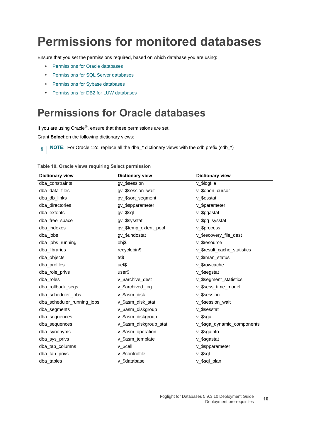## <span id="page-9-0"></span>**Permissions for monitored databases**

Ensure that you set the permissions required, based on which database you are using:

- **•** [Permissions for Oracle databases](#page-9-1)
- **•** [Permissions for SQL Server databases](#page-11-0)
- **•** [Permissions for Sybase databases](#page-12-0)
- **•** [Permissions for DB2 for LUW databases](#page-12-1)

### <span id="page-9-1"></span>**Permissions for Oracle databases**

If you are using Oracle<sup>®</sup>, ensure that these permissions are set.

Grant **Select** on the following dictionary views:

**i** | NOTE: For Oracle 12c, replace all the dba\_\* dictionary views with the cdb prefix (cdb\_\*)

|  |  |  |  |  |  |  | Table 10. Oracle views requiring Select permission |
|--|--|--|--|--|--|--|----------------------------------------------------|
|--|--|--|--|--|--|--|----------------------------------------------------|

| <b>Dictionary view</b>     | <b>Dictionary view</b> | <b>Dictionary view</b>      |
|----------------------------|------------------------|-----------------------------|
| dba_constraints            | gv_\$session           | v_\$logfile                 |
| dba_data_files             | gv_\$session_wait      | v_\$open_cursor             |
| dba_db_links               | gv_\$sort_segment      | v_\$osstat                  |
| dba_directories            | gv_\$spparameter       | v_\$parameter               |
| dba_extents                | gv_\$sql               | v_\$pgastat                 |
| dba_free_space             | gv_\$sysstat           | v_\$pq_sysstat              |
| dba_indexes                | gv_\$temp_extent_pool  | v_\$process                 |
| dba_jobs                   | gv_\$undostat          | v_\$recovery_file_dest      |
| dba_jobs_running           | obj\$                  | v_\$resource                |
| dba_libraries              | recyclebin\$           | v_\$result_cache_statistics |
| dba_objects                | ts\$                   | v_\$rman_status             |
| dba_profiles               | uet\$                  | v_\$rowcache                |
| dba_role_privs             | user\$                 | v_\$segstat                 |
| dba_roles                  | v_\$archive_dest       | v_\$segment_statistics      |
| dba_rollback_segs          | v_\$archived_log       | v_\$sess_time_model         |
| dba_scheduler_jobs         | v_\$asm_disk           | v_\$session                 |
| dba_scheduler_running_jobs | v_\$asm_disk_stat      | v_\$session_wait            |
| dba_segments               | v_\$asm_diskgroup      | v \$sesstat                 |
| dba_sequences              | v_\$asm_diskgroup      | v_\$sga                     |
| dba_sequences              | v_\$asm_diskgroup_stat | v \$sga_dynamic_components  |
| dba_synonyms               | v_\$asm_operation      | v_\$sgainfo                 |
| dba_sys_privs              | v_\$asm_template       | v_\$sgastat                 |
| dba_tab_columns            | v_\$cell               | v_\$spparameter             |
| dba_tab_privs              | v_\$controlfile        | v_\$sql                     |
| dba_tables                 | v_\$database           | v_\$sql_plan                |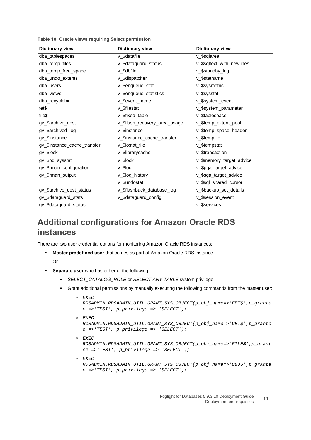**Table 10. Oracle views requiring Select permission**

| <b>Dictionary view</b>       | <b>Dictionary view</b>        | <b>Dictionary view</b>    |
|------------------------------|-------------------------------|---------------------------|
| dba_tablespaces              | v_\$datafile                  | v_\$sqlarea               |
| dba_temp_files               | v_\$dataguard_status          | v_\$sqltext_with_newlines |
| dba_temp_free_space          | v_\$dbfile                    | v_\$standby_log           |
| dba_undo_extents             | v_\$dispatcher                | v_\$statname              |
| dba_users                    | v_\$enqueue_stat              | v_\$sysmetric             |
| dba_views                    | v_\$enqueue_statistics        | v_\$sysstat               |
| dba_recyclebin               | v_\$event_name                | v_\$system_event          |
| fet\$                        | v \$filestat                  | v_\$system_parameter      |
| file\$                       | v_\$fixed_table               | v_\$tablespace            |
| gv_\$archive_dest            | v_\$flash_recovery_area_usage | v_\$temp_extent_pool      |
| gv_\$archived_log            | v \$instance                  | v_\$temp_space_header     |
| gv_\$instance                | v_\$instance_cache_transfer   | v_\$tempfile              |
| gv_\$instance_cache_transfer | v_\$iostat_file               | v_\$tempstat              |
| gv_\$lock                    | v_\$librarycache              | v_\$transaction           |
| gv_\$pq_sysstat              | v_\$lock                      | v_\$memory_target_advice  |
| gv_\$rman_configuration      | v_\$log                       | v_\$pga_target_advice     |
| gv_\$rman_output             | v_\$log_history               | v_\$sga_target_advice     |
|                              | v \$undostat                  | v_\$sql_shared_cursor     |
| gv_\$archive_dest_status     | v_\$flashback_database_log    | v_\$backup_set_details    |
| gv_\$dataguard_stats         | v_\$dataguard_config          | v_\$session_event         |
| gv_\$dataguard_status        |                               | v_\$services              |

### **Additional configurations for Amazon Oracle RDS instances**

There are two user credential options for monitoring Amazon Oracle RDS instances:

- **Master predefined user** that comes as part of Amazon Oracle RDS instance Or
- **Separate user** who has either of the following:
	- **▪** *SELECT\_CATALOG\_ROLE* or *SELECT ANY TABLE* system privilege
	- **▪** Grant additional permissions by manually executing the following commands from the master user:
		- *▫ EXEC RDSADMIN.RDSADMIN\_UTIL.GRANT\_SYS\_OBJECT(p\_obj\_name=>'FET\$',p\_grante e =>'TEST', p\_privilege => 'SELECT');*
		- *▫ EXEC RDSADMIN.RDSADMIN\_UTIL.GRANT\_SYS\_OBJECT(p\_obj\_name=>'UET\$',p\_grante e =>'TEST', p\_privilege => 'SELECT');*
		- *▫ EXEC RDSADMIN.RDSADMIN\_UTIL.GRANT\_SYS\_OBJECT(p\_obj\_name=>'FILE\$',p\_grant ee =>'TEST', p\_privilege => 'SELECT');*
		- *▫ EXEC RDSADMIN.RDSADMIN\_UTIL.GRANT\_SYS\_OBJECT(p\_obj\_name=>'OBJ\$',p\_grante e =>'TEST', p\_privilege => 'SELECT');*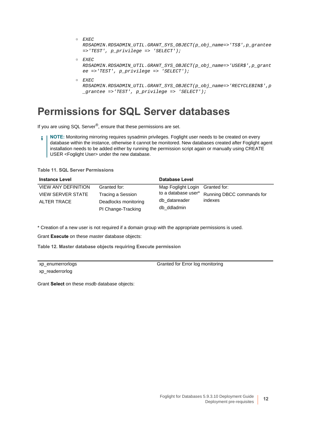```
▫ EXEC 
  RDSADMIN.RDSADMIN_UTIL.GRANT_SYS_OBJECT(p_obj_name=>'TS$',p_grantee 
  =>'TEST', p_privilege => 'SELECT');
▫ EXEC 
  RDSADMIN.RDSADMIN_UTIL.GRANT_SYS_OBJECT(p_obj_name=>'USER$',p_grant
```

```
ee =>'TEST', p_privilege => 'SELECT');
```
*▫ EXEC* 

```
RDSADMIN.RDSADMIN_UTIL.GRANT_SYS_OBJECT(p_obj_name=>'RECYCLEBIN$',p
_grantee =>'TEST', p_privilege => 'SELECT');
```
## <span id="page-11-0"></span>**Permissions for SQL Server databases**

If you are using  $SQL$  Server<sup>®</sup>, ensure that these permissions are set.

**NOTE:** Monitoring mirroring requires sysadmin privileges. Foglight user needs to be created on every ÷ database within the instance, otherwise it cannot be monitored. New databases created after Foglight agent installation needs to be added either by running the permission script again or manually using CREATE USER <Foglight User> under the new database.

**Table 11. SQL Server Permissions**

| <b>Instance Level</b>      |                      | <b>Database Level</b>           |                           |
|----------------------------|----------------------|---------------------------------|---------------------------|
| <b>VIEW ANY DEFINITION</b> | Granted for:         | Map Foglight Login Granted for: |                           |
| <b>VIEW SERVER STATE</b>   | Tracing a Session    | to a database user*             | Running DBCC commands for |
| ALTER TRACE                | Deadlocks monitoring | db datareader                   | indexes                   |
|                            | PI Change-Tracking   | db ddladmin                     |                           |

\* Creation of a new user is not required if a domain group with the appropriate permissions is used.

Grant **Execute** on these *master* database objects:

**Table 12. Master database objects requiring Execute permission**

xp\_enumerrorlogs xp\_readerrorlog

Granted for Error log monitoring

Grant **Select** on these *msdb* database objects: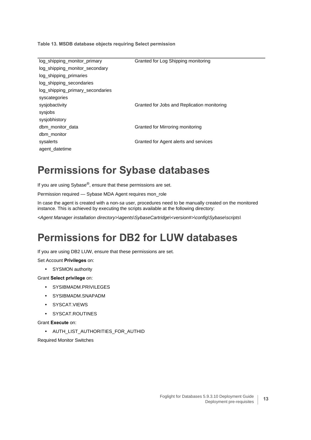**Table 13. MSDB database objects requiring Select permission**

| log_shipping_monitor_primary     | Granted for Log Shipping monitoring         |
|----------------------------------|---------------------------------------------|
| log shipping monitor secondary   |                                             |
| log shipping primaries           |                                             |
| log shipping secondaries         |                                             |
| log shipping primary secondaries |                                             |
| syscategories                    |                                             |
| sysjobactivity                   | Granted for Jobs and Replication monitoring |
| sysjobs                          |                                             |
| sysiobhistory                    |                                             |
| dbm monitor data                 | Granted for Mirroring monitoring            |
| dbm monitor                      |                                             |
| sysalerts                        | Granted for Agent alerts and services       |
| agent datetime                   |                                             |

## <span id="page-12-0"></span>**Permissions for Sybase databases**

If you are using Sybase®, ensure that these permissions are set.

Permission required — Sybase MDA Agent requires mon\_role

In case the agent is created with a non-*sa* user, procedures need to be manually created on the monitored instance. This is achieved by executing the scripts available at the following directory:

*<Agent Manager installation directory>\agents\SybaseCartridge\<version#>\config\Sybase\scripts\*

## <span id="page-12-1"></span>**Permissions for DB2 for LUW databases**

If you are using DB2 LUW, ensure that these permissions are set.

Set Account **Privileges** on:

**•** SYSMON authority

Grant **Select privilege** on:

- **•** SYSIBMADM.PRIVILEGES
- **•** SYSIBMADM.SNAPADM
- **•** SYSCAT.VIEWS
- **•** SYSCAT.ROUTINES

Grant **Execute** on:

**•** AUTH\_LIST\_AUTHORITIES\_FOR\_AUTHID

Required Monitor Switches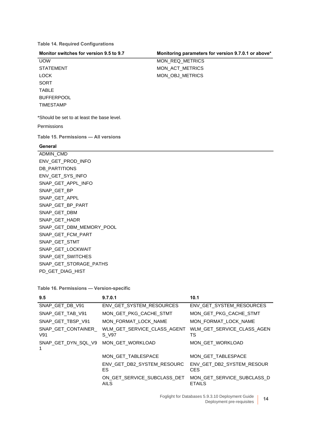**Table 14. Required Configurations**

UOW STATEMENT LOCK **SORT** TABLE **BUFFERPOOL** TIMESTAMP

**Monitor switches for version 9.5 to 9.7 Monitoring parameters for version 9.7.0.1 or above\***

MON\_REQ\_METRICS MON\_ACT\_METRICS MON\_OBJ\_METRICS

\*Should be set to at least the base level.

Permissions

**Table 15. Permissions — All versions**

### **General**

ADMIN\_CMD ENV\_GET\_PROD\_INFO DB\_PARTITIONS ENV\_GET\_SYS\_INFO SNAP\_GET\_APPL\_INFO SNAP\_GET\_BP SNAP\_GET\_APPL SNAP\_GET\_BP\_PART SNAP\_GET\_DBM SNAP\_GET\_HADR SNAP\_GET\_DBM\_MEMORY\_POOL SNAP\_GET\_FCM\_PART SNAP\_GET\_STMT SNAP\_GET\_LOCKWAIT SNAP\_GET\_SWITCHES SNAP\_GET\_STORAGE\_PATHS PD\_GET\_DIAG\_HIST

**Table 16. Permissions — Version-specific**

| 9.5                       | 9.7.0.1                                    | 10.1                                        |
|---------------------------|--------------------------------------------|---------------------------------------------|
| SNAP GET DB V91           | ENV GET SYSTEM RESOURCES                   | ENV GET SYSTEM RESOURCES                    |
| SNAP GET TAB V91          | MON GET PKG CACHE STMT                     | MON GET PKG CACHE STMT                      |
| SNAP GET TBSP V91         | MON FORMAT LOCK NAME                       | MON FORMAT LOCK NAME                        |
| SNAP GET CONTAINER<br>V91 | WLM GET SERVICE CLASS AGENT<br>S V97       | WLM GET SERVICE CLASS AGEN<br>TS            |
| SNAP GET DYN SQL V9       | MON_GET_WORKLOAD                           | MON_GET_WORKLOAD                            |
|                           | MON GET TABLESPACE                         | MON GET TABLESPACE                          |
|                           | ENV GET DB2 SYSTEM RESOURC<br>ES.          | ENV GET DB2 SYSTEM RESOUR<br><b>CES</b>     |
|                           | ON GET SERVICE SUBCLASS DET<br><b>AILS</b> | MON GET SERVICE SUBCLASS D<br><b>ETAILS</b> |

Foglight for Databases 5.9.3.10 Deployment Guide Deployment Guide 14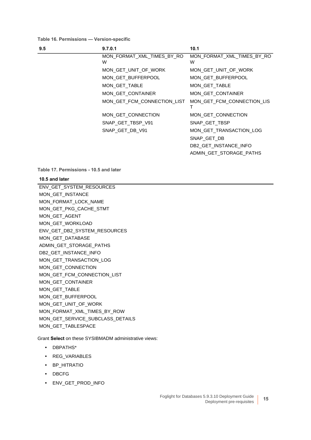#### **Table 16. Permissions — Version-specific**

| 9.5 | 9.7.0.1                         | 10.1                            |
|-----|---------------------------------|---------------------------------|
|     | MON_FORMAT_XML_TIMES_BY_RO<br>W | MON_FORMAT_XML_TIMES_BY_RO<br>W |
|     | MON GET UNIT OF WORK            | MON GET UNIT OF WORK            |
|     | MON_GET_BUFFERPOOL              | MON_GET_BUFFERPOOL              |
|     | MON GET TABLE                   | MON GET TABLE                   |
|     | MON GET CONTAINER               | MON GET CONTAINER               |
|     | MON_GET_FCM_CONNECTION_LIST     | MON_GET_FCM_CONNECTION_LIS      |
|     | MON_GET_CONNECTION              | MON_GET_CONNECTION              |
|     | SNAP_GET_TBSP_V91               | SNAP_GET_TBSP                   |
|     | SNAP GET DB V91                 | MON_GET_TRANSACTION_LOG         |
|     |                                 | SNAP GET DB                     |
|     |                                 | DB2 GET INSTANCE INFO           |
|     |                                 | ADMIN GET STORAGE PATHS         |

**Table 17. Permissions - 10.5 and later**

#### **10.5 and later**

ENV\_GET\_SYSTEM\_RESOURCES MON\_GET\_INSTANCE MON\_FORMAT\_LOCK\_NAME MON\_GET\_PKG\_CACHE\_STMT MON\_GET\_AGENT MON\_GET\_WORKLOAD ENV\_GET\_DB2\_SYSTEM\_RESOURCES MON\_GET\_DATABASE ADMIN\_GET\_STORAGE\_PATHS DB2\_GET\_INSTANCE\_INFO MON\_GET\_TRANSACTION\_LOG MON\_GET\_CONNECTION MON\_GET\_FCM\_CONNECTION\_LIST MON\_GET\_CONTAINER MON\_GET\_TABLE MON\_GET\_BUFFERPOOL MON\_GET\_UNIT\_OF\_WORK MON\_FORMAT\_XML\_TIMES\_BY\_ROW MON\_GET\_SERVICE\_SUBCLASS\_DETAILS MON\_GET\_TABLESPACE

Grant **Select** on these SYSIBMADM administrative views:

- **•** DBPATHS\*
- **•** REG\_VARIABLES
- **•** BP\_HITRATIO
- **•** DBCFG
- **•** ENV\_GET\_PROD\_INFO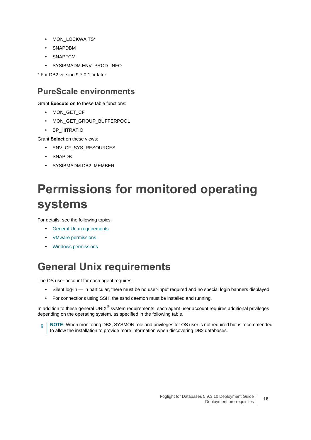- **•** MON\_LOCKWAITS\*
- **•** SNAPDBM
- **•** SNAPFCM
- **•** SYSIBMADM.ENV\_PROD\_INFO

\* For DB2 version 9.7.0.1 or later

### **PureScale environments**

Grant **Execute on** to these table functions:

- **•** MON\_GET\_CF
- **•** MON\_GET\_GROUP\_BUFFERPOOL
- **•** BP\_HITRATIO

Grant **Select** on these views:

- **•** ENV\_CF\_SYS\_RESOURCES
- **•** SNAPDB
- **•** SYSIBMADM.DB2\_MEMBER

# <span id="page-15-0"></span>**Permissions for monitored operating systems**

For details, see the following topics:

- **•** [General Unix requirements](#page-15-1)
- **•** [VMware permissions](#page-16-0)
- **•** [Windows permissions](#page-16-1)

## <span id="page-15-1"></span>**General Unix requirements**

The OS user account for each agent requires:

- **•** Silent log-in in particular, there must be no user-input required and no special login banners displayed
- **•** For connections using SSH, the sshd daemon must be installed and running.

In addition to these general UNIX<sup>®</sup> system requirements, each agent user account requires additional privileges depending on the operating system, as specified in the following table.

**NOTE:** When monitoring DB2, SYSMON role and privileges for OS user is not required but is recommended i to allow the installation to provide more information when discovering DB2 databases.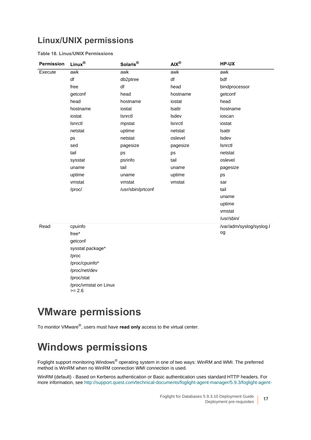### **Linux/UNIX permissions**

### **Table 18. Linux/UNIX Permissions**

| Permission | Linux®                            | Solaris <sup>®</sup> | $AIX^{\circledR}$ | HP-UX                    |
|------------|-----------------------------------|----------------------|-------------------|--------------------------|
| Execute    | awk                               | awk                  | awk               | awk                      |
|            | df                                | db2ptree             | df                | bdf                      |
|            | free                              | df                   | head              | bindprocessor            |
|            | getconf                           | head                 | hostname          | getconf                  |
|            | head                              | hostname             | iostat            | head                     |
|            | hostname                          | iostat               | Isattr            | hostname                 |
|            | iostat                            | Isnrctl              | Isdev             | ioscan                   |
|            | Isnrctl                           | mpstat               | Isnrctl           | iostat                   |
|            | netstat                           | uptime               | netstat           | Isattr                   |
|            | ps                                | netstat              | oslevel           | Isdev                    |
|            | sed                               | pagesize             | pagesize          | Isnrctl                  |
|            | tail                              | ps                   | ps                | netstat                  |
|            | sysstat                           | psrinfo              | tail              | oslevel                  |
|            | uname                             | tail                 | uname             | pagesize                 |
|            | uptime                            | uname                | uptime            | ps                       |
|            | vmstat                            | vmstat               | vmstat            | sar                      |
|            | /proc/                            | /usr/sbin/prtconf    |                   | tail                     |
|            |                                   |                      |                   | uname                    |
|            |                                   |                      |                   | uptime                   |
|            |                                   |                      |                   | vmstat                   |
|            |                                   |                      |                   | /usr/sbin/               |
| Read       | cpuinfo                           |                      |                   | /var/adm/syslog/syslog.l |
|            | free*                             |                      |                   | og                       |
|            | getconf                           |                      |                   |                          |
|            | sysstat package*                  |                      |                   |                          |
|            | /proc                             |                      |                   |                          |
|            | /proc/cpuinfo*                    |                      |                   |                          |
|            | /proc/net/dev                     |                      |                   |                          |
|            | /proc/stat                        |                      |                   |                          |
|            | /proc/vmstat on Linux<br>$>= 2.6$ |                      |                   |                          |

### <span id="page-16-0"></span>**VMware permissions**

To monitor VMware®, users must have **read only** access to the virtual center.

## <span id="page-16-1"></span>**Windows permissions**

Foglight support monitoring Windows® operating system in one of two ways: WinRM and WMI. The preferred method is WinRM when no WinRM connection WMI connection is used.

WinRM (default) - Based on Kerberos authentication or Basic authentication uses standard HTTP headers. For more information, see [http://support.quest.com/technical-documents/foglight-agent-manager/5.9.3/foglight-agent-](http://support.quest.com/technical-documents/foglight-agent-manager/5.9.3/foglight-agent-manager-guide/advanced-system-configuration-and-troubleshooting/configuring-windows-remote-management-winrm)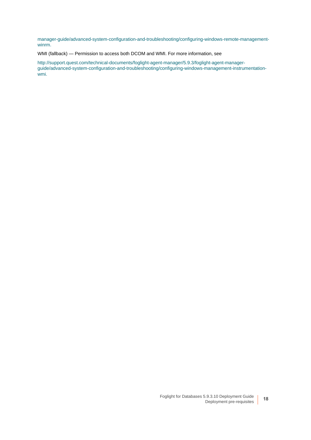[manager-guide/advanced-system-configuration-and-troubleshooting/configuring-windows-remote-management](http://support.quest.com/technical-documents/foglight-agent-manager/5.9.3/foglight-agent-manager-guide/advanced-system-configuration-and-troubleshooting/configuring-windows-remote-management-winrm)winrm.

WMI (fallback) — Permission to access both DCOM and WMI. For more information, see

http://support.quest.com/technical-documents/foglight-agent-manager/5.9.3/foglight-agent-manager[guide/advanced-system-configuration-and-troubleshooting/configuring-windows-management-instrumentation](http://support.quest.com/technical-documents/foglight-agent-manager/5.9.3/foglight-agent-manager-guide/advanced-system-configuration-and-troubleshooting/configuring-windows-management-instrumentation-wmi)wmi.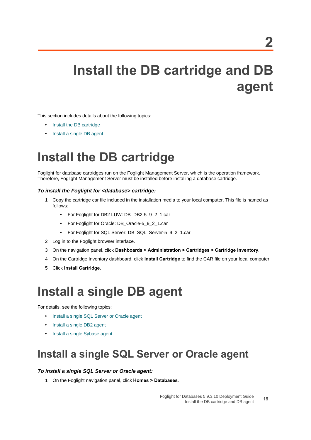# <span id="page-18-0"></span>**Install the DB cartridge and DB agent**

This section includes details about the following topics:

- **•** [Install the DB cartridge](#page-18-1)
- **•** [Install a single DB agent](#page-18-2)

# <span id="page-18-1"></span>**Install the DB cartridge**

Foglight for database cartridges run on the Foglight Management Server, which is the operation framework. Therefore, Foglight Management Server must be installed before installing a database cartridge.

#### *To install the Foglight for <database> cartridge:*

- 1 Copy the cartridge car file included in the installation media to your local computer. This file is named as follows:
	- **▪** For Foglight for DB2 LUW: DB\_DB2-5\_9\_2\_1.car
	- **▪** For Foglight for Oracle: DB\_Oracle-5\_9\_2\_1.car
	- **▪** For Foglight for SQL Server: DB\_SQL\_Server-5\_9\_2\_1.car
- 2 Log in to the Foglight browser interface.
- 3 On the navigation panel, click **Dashboards > Administration > Cartridges > Cartridge Inventory**.
- 4 On the Cartridge Inventory dashboard, click **Install Cartridge** to find the CAR file on your local computer.
- 5 Click **Install Cartridge**.

## <span id="page-18-2"></span>**Install a single DB agent**

For details, see the following topics:

- **•** [Install a single SQL Server or Oracle agent](#page-18-3)
- **•** [Install a single DB2 agent](#page-19-0)
- **•** [Install a single Sybase agent](#page-19-1)

## <span id="page-18-3"></span>**Install a single SQL Server or Oracle agent**

#### *To install a single SQL Server or Oracle agent:*

1 On the Foglight navigation panel, click **Homes > Databases**.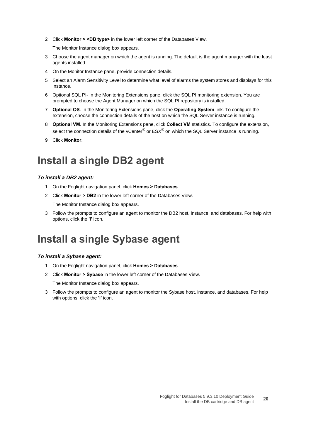2 Click **Monitor > <DB type>** in the lower left corner of the Databases View.

The Monitor Instance dialog box appears.

- 3 Choose the agent manager on which the agent is running. The default is the agent manager with the least agents installed.
- 4 On the Monitor Instance pane, provide connection details.
- 5 Select an Alarm Sensitivity Level to determine what level of alarms the system stores and displays for this instance.
- 6 Optional SQL PI- In the Monitoring Extensions pane, click the SQL PI monitoring extension. You are prompted to choose the Agent Manager on which the SQL PI repository is installed.
- 7 **Optional OS**. In the Monitoring Extensions pane, click the **Operating System** link. To configure the extension, choose the connection details of the host on which the SQL Server instance is running.
- 8 **Optional VM**. In the Monitoring Extensions pane, click **Collect VM** statistics. To configure the extension, select the connection details of the vCenter<sup>®</sup> or  $ESX^®$  on which the SQL Server instance is running.
- 9 Click **Monitor**.

### <span id="page-19-0"></span>**Install a single DB2 agent**

#### *To install a DB2 agent:*

- 1 On the Foglight navigation panel, click **Homes > Databases**.
- 2 Click **Monitor > DB2** in the lower left corner of the Databases View.

The Monitor Instance dialog box appears.

3 Follow the prompts to configure an agent to monitor the DB2 host, instance, and databases. For help with options, click the **'i'** icon.

### <span id="page-19-1"></span>**Install a single Sybase agent**

#### *To install a Sybase agent:*

- 1 On the Foglight navigation panel, click **Homes > Databases**.
- 2 Click **Monitor > Sybase** in the lower left corner of the Databases View.

The Monitor Instance dialog box appears.

3 Follow the prompts to configure an agent to monitor the Sybase host, instance, and databases. For help with options, click the **'i'** icon.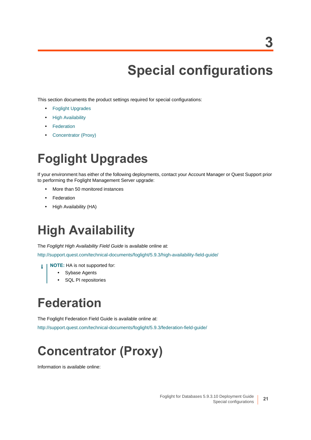# **Special configurations**

<span id="page-20-0"></span>This section documents the product settings required for special configurations:

- **•** [Foglight Upgrades](#page-20-1)
- **•** [High Availability](#page-20-2)
- **•** [Federation](#page-20-3)
- **•** [Concentrator \(Proxy\)](#page-20-4)

# <span id="page-20-1"></span>**Foglight Upgrades**

If your environment has either of the following deployments, contact your Account Manager or Quest Support prior to performing the Foglight Management Server upgrade:

- **•** More than 50 monitored instances
- **•** Federation
- **•** High Availability (HA)

## <span id="page-20-2"></span>**High Availability**

The *Foglight High Availability Field Guide* is available online at:

[http://support.quest.com/technical-documents/foglight/5.9.3/high-availability-field-guide/](http://support.quest.com/technical-documents/foglight/5.9.2/high-availability-field-guide/)

- **NOTE:** HA is not supported for: f.
	- **•** Sybase Agents
	- **•** SQL PI repositories

# <span id="page-20-3"></span>**Federation**

The Foglight Federation Field Guide is available online at:

[http://support.quest.com/technical-documents/foglight/5.9.3/federation-field-guide/](http://support.quest.com/technical-documents/foglight/5.9.2/federation-field-guide/)

# <span id="page-20-4"></span>**Concentrator (Proxy)**

Information is available online: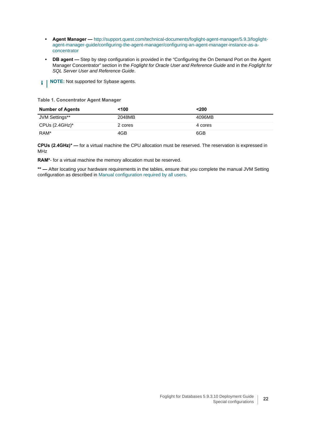- **Agent Manager —** [http://support.quest.com/technical-documents/foglight-agent-manager/5.9.3/foglight](http://support.quest.com/technical-documents/foglight-agent-manager/5.9.2/foglight-agent-manager-guide/configuring-the-agent-manager/configuring-an-agent-manager-instance-as-a-concentrator)[agent-manager-guide/configuring-the-agent-manager/configuring-an-agent-manager-instance-as-a](http://support.quest.com/technical-documents/foglight-agent-manager/5.9.2/foglight-agent-manager-guide/configuring-the-agent-manager/configuring-an-agent-manager-instance-as-a-concentrator)concentrator
- **DB agent** Step by step configuration is provided in the "Configuring the On Demand Port on the Agent Manager Concentrator" section in the *Foglight for Oracle User and Reference Guide* and in the *Foglight for SQL Server User and Reference Guide*.
- **i** | NOTE: Not supported for Sybase agents.

#### **Table 1. Concentrator Agent Manager**

| <b>Number of Agents</b> | $100$   | <200    |
|-------------------------|---------|---------|
| JVM Settings**          | 2048MB  | 4096MB  |
| CPUs $(2.4GHz)^*$       | 2 cores | 4 cores |
| RAM*                    | 4GB     | 6GB     |

**CPUs (2.4GHz)\* —** for a virtual machine the CPU allocation must be reserved. The reservation is expressed in MHz

**RAM\***- for a virtual machine the memory allocation must be reserved.

**\*\* —** After locating your hardware requirements in the tables, ensure that you complete the manual JVM Setting configuration as described in [Manual configuration required by all users.](#page-6-1)